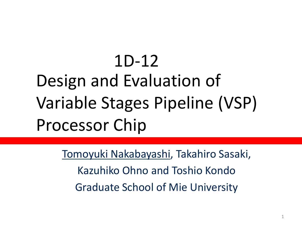## Design and Evaluation of Variable Stages Pipeline (VSP) Processor Chip 1D-12

Tomoyuki Nakabayashi, Takahiro Sasaki, Kazuhiko Ohno and Toshio Kondo Graduate School of Mie University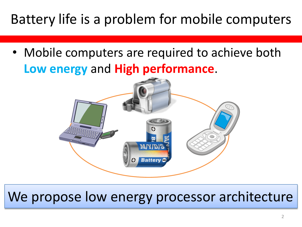### Battery life is a problem for mobile computers

• Mobile computers are required to achieve both **Low energy** and **High performance**.



#### We propose low energy processor architecture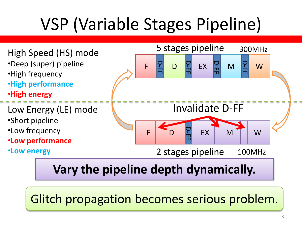# VSP (Variable Stages Pipeline)



#### **Vary the pipeline depth dynamically.**

Glitch propagation becomes serious problem.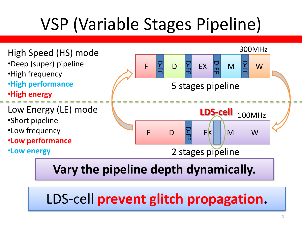# VSP (Variable Stages Pipeline)



#### **Vary the pipeline depth dynamically.**

LDS-cell **prevent glitch propagation.**